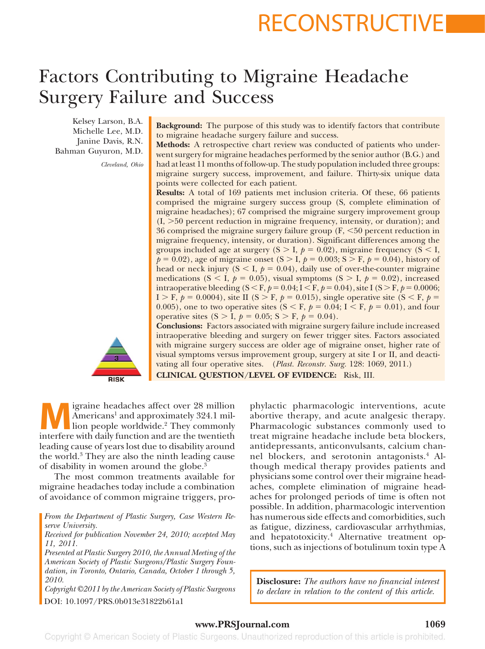# RECONSTRUCTIVE

# Factors Contributing to Migraine Headache Surgery Failure and Success

Kelsey Larson, B.A. Michelle Lee, M.D. Janine Davis, R.N. Bahman Guyuron, M.D.

*Cleveland, Ohio*

**Background:** The purpose of this study was to identify factors that contribute to migraine headache surgery failure and success.

**Methods:** A retrospective chart review was conducted of patients who underwent surgery for migraine headaches performed by the senior author (B.G.) and had at least 11 months of follow-up. The study population included three groups: migraine surgery success, improvement, and failure. Thirty-six unique data points were collected for each patient.

**Results:** A total of 169 patients met inclusion criteria. Of these, 66 patients comprised the migraine surgery success group (S, complete elimination of migraine headaches); 67 comprised the migraine surgery improvement group  $(I, >50$  percent reduction in migraine frequency, intensity, or duration); and 36 comprised the migraine surgery failure group  $(F, \le 50)$  percent reduction in migraine frequency, intensity, or duration). Significant differences among the groups included age at surgery  $(S > I, p = 0.02)$ , migraine frequency  $(S < I,$  $p = 0.02$ , age of migraine onset (S > I,  $p = 0.003$ ; S > F,  $p = 0.04$ ), history of head or neck injury  $(S < I, p = 0.04)$ , daily use of over-the-counter migraine medications (S < I,  $p = 0.05$ ), visual symptoms (S > I,  $p = 0.02$ ), increased intraoperative bleeding (S < F,  $p = 0.04$ ; I < F,  $p = 0.04$ ), site I (S > F,  $p = 0.0006$ ; I > F,  $p = 0.0004$ ), site II (S > F,  $p = 0.015$ ), single operative site (S < F,  $p =$ 0.005), one to two operative sites ( $S \le F$ ,  $p = 0.04$ ;  $I \le F$ ,  $p = 0.01$ ), and four operative sites  $(S > I, p = 0.05; S > F, p = 0.04)$ .

**RISK** 

**Conclusions:** Factors associated with migraine surgery failure include increased intraoperative bleeding and surgery on fewer trigger sites. Factors associated with migraine surgery success are older age of migraine onset, higher rate of visual symptoms versus improvement group, surgery at site I or II, and deactivating all four operative sites. (*Plast. Reconstr. Surg.* 128: 1069, 2011.)

**CLINICAL QUESTION/LEVEL OF EVIDENCE:** Risk, III.

**Main is a matrice in the analysis of the Americans** and approximately 324.1 million people worldwide.<sup>2</sup> They commonly interfere with daily function and are the twentieth Americans<sup>1</sup> and approximately 324.1 million people worldwide.<sup>2</sup> They commonly interfere with daily function and are the twentieth leading cause of years lost due to disability around the world.3 They are also the ninth leading cause of disability in women around the globe.3

The most common treatments available for migraine headaches today include a combination of avoidance of common migraine triggers, pro-

*From the Department of Plastic Surgery, Case Western Reserve University.*

*Received for publication November 24, 2010; accepted May 11, 2011.*

*Presented at Plastic Surgery 2010, the Annual Meeting of the American Society of Plastic Surgeons/Plastic Surgery Foundation, in Toronto, Ontario, Canada, October 1 through 5, 2010.*

*Copyright ©2011 by the American Society of Plastic Surgeons* DOI: 10.1097/PRS.0b013e31822b61a1

phylactic pharmacologic interventions, acute abortive therapy, and acute analgesic therapy. Pharmacologic substances commonly used to treat migraine headache include beta blockers, antidepressants, anticonvulsants, calcium channel blockers, and serotonin antagonists.<sup>4</sup> Although medical therapy provides patients and physicians some control over their migraine headaches, complete elimination of migraine headaches for prolonged periods of time is often not possible. In addition, pharmacologic intervention has numerous side effects and comorbidities, such as fatigue, dizziness, cardiovascular arrhythmias, and hepatotoxicity.<sup>4</sup> Alternative treatment options, such as injections of botulinum toxin type A

**Disclosure:** *The authors have no financial interest to declare in relation to the content of this article.*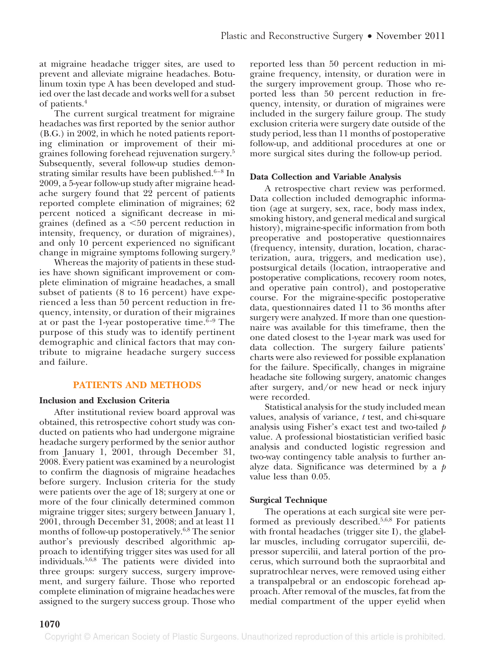at migraine headache trigger sites, are used to prevent and alleviate migraine headaches. Botulinum toxin type A has been developed and studied over the last decade and works well for a subset of patients.4

The current surgical treatment for migraine headaches was first reported by the senior author (B.G.) in 2002, in which he noted patients reporting elimination or improvement of their migraines following forehead rejuvenation surgery.5 Subsequently, several follow-up studies demonstrating similar results have been published. $6-8$  In 2009, a 5-year follow-up study after migraine headache surgery found that 22 percent of patients reported complete elimination of migraines; 62 percent noticed a significant decrease in migraines (defined as  $a \leq 50$  percent reduction in intensity, frequency, or duration of migraines), and only 10 percent experienced no significant change in migraine symptoms following surgery.9

Whereas the majority of patients in these studies have shown significant improvement or complete elimination of migraine headaches, a small subset of patients (8 to 16 percent) have experienced a less than 50 percent reduction in frequency, intensity, or duration of their migraines at or past the 1-year postoperative time. $6-9$  The purpose of this study was to identify pertinent demographic and clinical factors that may contribute to migraine headache surgery success and failure.

# **PATIENTS AND METHODS**

## **Inclusion and Exclusion Criteria**

After institutional review board approval was obtained, this retrospective cohort study was conducted on patients who had undergone migraine headache surgery performed by the senior author from January 1, 2001, through December 31, 2008. Every patient was examined by a neurologist to confirm the diagnosis of migraine headaches before surgery. Inclusion criteria for the study were patients over the age of 18; surgery at one or more of the four clinically determined common migraine trigger sites; surgery between January 1, 2001, through December 31, 2008; and at least 11 months of follow-up postoperatively.<sup>6,8</sup> The senior author's previously described algorithmic approach to identifying trigger sites was used for all individuals.5,6,8 The patients were divided into three groups: surgery success, surgery improvement, and surgery failure. Those who reported complete elimination of migraine headaches were assigned to the surgery success group. Those who

reported less than 50 percent reduction in migraine frequency, intensity, or duration were in the surgery improvement group. Those who reported less than 50 percent reduction in frequency, intensity, or duration of migraines were included in the surgery failure group. The study exclusion criteria were surgery date outside of the study period, less than 11 months of postoperative follow-up, and additional procedures at one or more surgical sites during the follow-up period.

# **Data Collection and Variable Analysis**

A retrospective chart review was performed. Data collection included demographic information (age at surgery, sex, race, body mass index, smoking history, and general medical and surgical history), migraine-specific information from both preoperative and postoperative questionnaires (frequency, intensity, duration, location, characterization, aura, triggers, and medication use), postsurgical details (location, intraoperative and postoperative complications, recovery room notes, and operative pain control), and postoperative course. For the migraine-specific postoperative data, questionnaires dated 11 to 36 months after surgery were analyzed. If more than one questionnaire was available for this timeframe, then the one dated closest to the 1-year mark was used for data collection. The surgery failure patients' charts were also reviewed for possible explanation for the failure. Specifically, changes in migraine headache site following surgery, anatomic changes after surgery, and/or new head or neck injury were recorded.

Statistical analysis for the study included mean values, analysis of variance, *t* test, and chi-square analysis using Fisher's exact test and two-tailed *p* value. A professional biostatistician verified basic analysis and conducted logistic regression and two-way contingency table analysis to further analyze data. Significance was determined by a *p* value less than 0.05.

# **Surgical Technique**

The operations at each surgical site were performed as previously described.5,6,8 For patients with frontal headaches (trigger site I), the glabellar muscles, including corrugator supercilii, depressor supercilii, and lateral portion of the procerus, which surround both the supraorbital and supratrochlear nerves, were removed using either a transpalpebral or an endoscopic forehead approach. After removal of the muscles, fat from the medial compartment of the upper eyelid when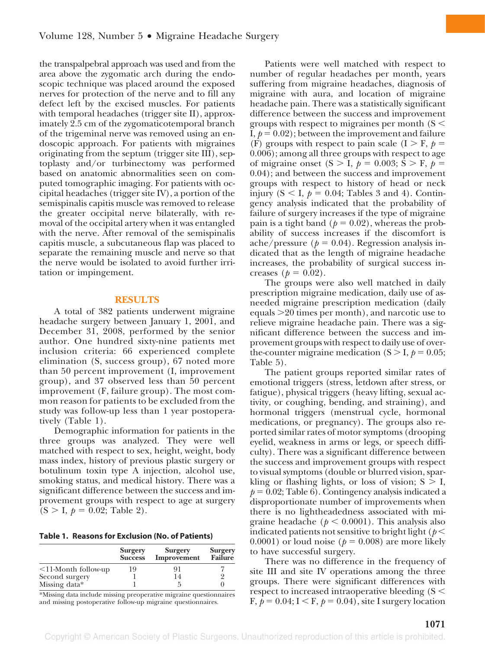the transpalpebral approach was used and from the area above the zygomatic arch during the endoscopic technique was placed around the exposed nerves for protection of the nerve and to fill any defect left by the excised muscles. For patients with temporal headaches (trigger site II), approximately 2.5 cm of the zygomaticotemporal branch of the trigeminal nerve was removed using an endoscopic approach. For patients with migraines originating from the septum (trigger site III), septoplasty and/or turbinectomy was performed based on anatomic abnormalities seen on computed tomographic imaging. For patients with occipital headaches (trigger site IV), a portion of the semispinalis capitis muscle was removed to release the greater occipital nerve bilaterally, with removal of the occipital artery when it was entangled with the nerve. After removal of the semispinalis capitis muscle, a subcutaneous flap was placed to separate the remaining muscle and nerve so that the nerve would be isolated to avoid further irritation or impingement.

#### **RESULTS**

A total of 382 patients underwent migraine headache surgery between January 1, 2001, and December 31, 2008, performed by the senior author. One hundred sixty-nine patients met inclusion criteria: 66 experienced complete elimination (S, success group), 67 noted more than 50 percent improvement (I, improvement group), and 37 observed less than 50 percent improvement (F, failure group). The most common reason for patients to be excluded from the study was follow-up less than 1 year postoperatively (Table 1).

Demographic information for patients in the three groups was analyzed. They were well matched with respect to sex, height, weight, body mass index, history of previous plastic surgery or botulinum toxin type A injection, alcohol use, smoking status, and medical history. There was a significant difference between the success and improvement groups with respect to age at surgery  $(S > I, p = 0.02;$  Table 2).

|  |  |  | Table 1. Reasons for Exclusion (No. of Patients) |
|--|--|--|--------------------------------------------------|
|--|--|--|--------------------------------------------------|

|                           | <b>Surgery</b><br><b>Success</b> | <b>Surgery</b><br>Improvement | <b>Surgery</b><br>Failure |
|---------------------------|----------------------------------|-------------------------------|---------------------------|
| $\leq$ 11-Month follow-up | 19                               | 91                            |                           |
| Second surgery            |                                  | 14                            |                           |
| Missing data*             |                                  |                               |                           |

\*Missing data include missing preoperative migraine questionnaires and missing postoperative follow-up migraine questionnaires.

Patients were well matched with respect to number of regular headaches per month, years suffering from migraine headaches, diagnosis of migraine with aura, and location of migraine headache pain. There was a statistically significant difference between the success and improvement groups with respect to migraines per month ( $S \leq$ I,  $p = 0.02$ ; between the improvement and failure (F) groups with respect to pain scale  $(I > F, p =$ 0.006); among all three groups with respect to age of migraine onset (S  $>$  I,  $p = 0.003$ ; S  $>$  F,  $p =$ 0.04); and between the success and improvement groups with respect to history of head or neck injury ( $S < I$ ,  $p = 0.04$ ; Tables 3 and 4). Contingency analysis indicated that the probability of failure of surgery increases if the type of migraine pain is a tight band ( $p = 0.02$ ), whereas the probability of success increases if the discomfort is ache/pressure ( $p = 0.04$ ). Regression analysis indicated that as the length of migraine headache increases, the probability of surgical success increases ( $p = 0.02$ ).

The groups were also well matched in daily prescription migraine medication, daily use of asneeded migraine prescription medication (daily equals  $\geq$ 20 times per month), and narcotic use to relieve migraine headache pain. There was a significant difference between the success and improvement groups with respect to daily use of overthe-counter migraine medication ( $S > I$ ,  $p = 0.05$ ; Table 5).

The patient groups reported similar rates of emotional triggers (stress, letdown after stress, or fatigue), physical triggers (heavy lifting, sexual activity, or coughing, bending, and straining), and hormonal triggers (menstrual cycle, hormonal medications, or pregnancy). The groups also reported similar rates of motor symptoms (drooping eyelid, weakness in arms or legs, or speech difficulty). There was a significant difference between the success and improvement groups with respect to visual symptoms (double or blurred vision, sparkling or flashing lights, or loss of vision;  $S > I$ ,  $p = 0.02$ ; Table 6). Contingency analysis indicated a disproportionate number of improvements when there is no lightheadedness associated with migraine headache ( $p < 0.0001$ ). This analysis also indicated patients not sensitive to bright light ( $p <$ 0.0001) or loud noise ( $p = 0.008$ ) are more likely to have successful surgery.

There was no difference in the frequency of site III and site IV operations among the three groups. There were significant differences with respect to increased intraoperative bleeding  $(S <$ F,  $p = 0.04$ ;  $I \le F$ ,  $p = 0.04$ ), site I surgery location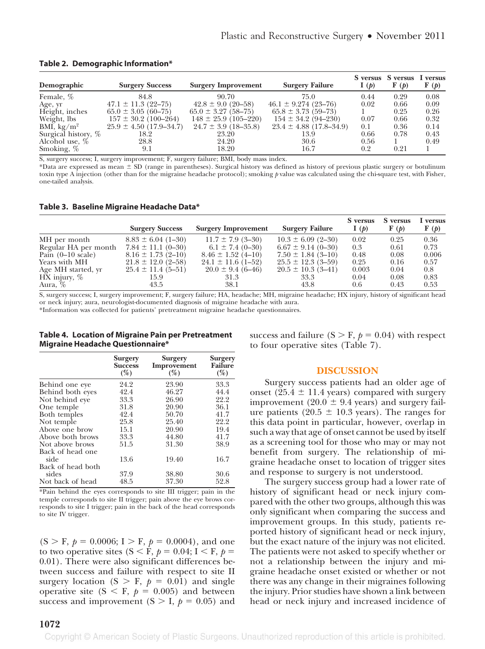| Demographic                 | <b>Surgery Success</b>      | <b>Surgery Improvement</b> | <b>Surgery Failure</b>      | I(p) | S versus S versus<br>$\mathbf{F}(\boldsymbol{p})$ | I versus<br>$\mathbf{F}(\boldsymbol{p})$ |
|-----------------------------|-----------------------------|----------------------------|-----------------------------|------|---------------------------------------------------|------------------------------------------|
| Female, %                   | 84.8                        | 90.70                      | 75.0                        | 0.44 | 0.29                                              | 0.08                                     |
| Age, yr                     | $47.1 \pm 11.3$ (22-75)     | $42.8 \pm 9.0$ (20-58)     | $46.1 \pm 9.274$ (23-76)    | 0.02 | 0.66                                              | 0.09                                     |
| Height, inches              | $65.0 \pm 3.05 (60 - 75)$   | $65.0 \pm 3.27$ (58-75)    | $65.8 \pm 3.73$ (59-73)     |      | 0.25                                              | 0.26                                     |
| Weight, lbs                 | $157 \pm 30.2$ (100-264)    | $148 \pm 25.9$ (105-220)   | $154 \pm 34.2$ (94-230)     | 0.07 | 0.66                                              | 0.32                                     |
| BMI, $\text{kg}/\text{m}^2$ | $25.9 \pm 4.50$ (17.9–34.7) | $24.7 \pm 3.9$ (18-35.8)   | $23.4 \pm 4.88$ (17.8–34.9) | 0.1  | 0.36                                              | 0.14                                     |
| Surgical history, %         | 18.2                        | 23.20                      | 13.9                        | 0.66 | 0.78                                              | 0.43                                     |
| Alcohol use, %              | 28.8                        | 24.20                      | 30.6                        | 0.56 |                                                   | 0.49                                     |
| Smoking, %                  | 9.1                         | 18.20                      | 16.7                        | 0.2  | 0.21                                              |                                          |

**Table 2. Demographic Information\***

S, surgery success; I, surgery improvement; F, surgery failure; BMI, body mass index.

\*Data are expressed as mean \$ SD (range in parentheses). Surgical history was defined as history of previous plastic surgery or botulinum toxin type A injection (other than for the migraine headache protocol); smoking *p* value was calculated using the chi-square test, with Fisher, one-tailed analysis.

#### **Table 3. Baseline Migraine Headache Data\***

|                             | <b>Surgery Success</b> | <b>Surgery Improvement</b> | <b>Surgery Failure</b> | S versus<br>I(p) | S versus<br>$\mathbf{F}(\boldsymbol{p})$ | I versus<br>$\mathbf{F}(\boldsymbol{p})$ |
|-----------------------------|------------------------|----------------------------|------------------------|------------------|------------------------------------------|------------------------------------------|
| MH per month                | $8.83 \pm 6.04$ (1-30) | $11.7 \pm 7.9$ (3-30)      | $10.3 \pm 6.09$ (2-30) | 0.02             | 0.25                                     | 0.36                                     |
| Regular HA per month        | $7.84 \pm 11.1$ (0-30) | $6.1 \pm 7.4$ (0-30)       | $6.67 \pm 9.14$ (0-30) | 0.3              | 0.61                                     | 0.73                                     |
| Pain $(0-10 \text{ scale})$ | $8.16 \pm 1.73$ (2-10) | $8.46 \pm 1.52$ (4-10)     | $7.50 \pm 1.84$ (3-10) | 0.48             | 0.08                                     | 0.006                                    |
| Years with MH               | $21.8 \pm 12.0$ (2-58) | $24.1 \pm 11.6$ (1-52)     | $25.5 \pm 12.3$ (3-59) | 0.25             | 0.16                                     | 0.57                                     |
| Age MH started, yr          | $25.4 \pm 11.4$ (5-51) | $20.0 \pm 9.4$ (6-46)      | $20.5 \pm 10.3$ (3-41) | 0.003            | 0.04                                     | 0.8                                      |
| $HX$ injury, $%$            | 15.9                   | 31.3                       | 33.3                   | 0.04             | 0.08                                     | 0.83                                     |
| Aura, %                     | 43.5                   | 38.1                       | 43.8                   | 0.6              | 0.43                                     | 0.53                                     |

S, surgery success; I, surgery improvement; F, surgery failure; HA, headache; MH, migraine headache; HX injury, history of significant head or neck injury; aura, neurologist-documented diagnosis of migraine headache with aura.

\*Information was collected for patients' pretreatment migraine headache questionnaires.

**Table 4. Location of Migraine Pain per Pretreatment Migraine Headache Questionnaire\***

|                   | <b>Surgery</b><br><b>Success</b><br>$(\%)$ | <b>Surgery</b><br>Improvement<br>$(\%)$ | Surgery<br><b>Failure</b><br>$(\%)$ |
|-------------------|--------------------------------------------|-----------------------------------------|-------------------------------------|
| Behind one eye    | 24.2                                       | 23.90                                   | 33.3                                |
| Behind both eyes  | 42.4                                       | 46.27                                   | 44.4                                |
| Not behind eye    | 33.3                                       | 26.90                                   | 22.2                                |
| One temple        | 31.8                                       | 20.90                                   | 36.1                                |
| Both temples      | 42.4                                       | 50.70                                   | 41.7                                |
| Not temple        | 25.8                                       | 25.40                                   | 22.2                                |
| Above one brow    | 15.1                                       | 20.90                                   | 19.4                                |
| Above both brows  | 33.3                                       | 44.80                                   | 41.7                                |
| Not above brows   | 51.5                                       | 31.30                                   | 38.9                                |
| Back of head one  |                                            |                                         |                                     |
| side              | 13.6                                       | 19.40                                   | 16.7                                |
| Back of head both |                                            |                                         |                                     |
| sides             | 37.9                                       | 38.80                                   | 30.6                                |
| Not back of head  | 48.5                                       | 37.30                                   | 52.8                                |

\*Pain behind the eyes corresponds to site III trigger; pain in the temple corresponds to site II trigger; pain above the eye brows corresponds to site I trigger; pain in the back of the head corresponds to site IV trigger.

 $(S > F, p = 0.0006; I > F, p = 0.0004)$ , and one to two operative sites  $(S \le F, p = 0.04; I \le F, p = 0.04)$ 0.01). There were also significant differences between success and failure with respect to site II surgery location (S  $>$  F,  $p = 0.01$ ) and single operative site ( $S \leq F$ ,  $p = 0.005$ ) and between success and improvement  $(S > I, p = 0.05)$  and

success and failure  $(S > F, p = 0.04)$  with respect to four operative sites (Table 7).

### **DISCUSSION**

Surgery success patients had an older age of onset (25.4  $\pm$  11.4 years) compared with surgery improvement (20.0  $\pm$  9.4 years) and surgery failure patients (20.5  $\pm$  10.3 years). The ranges for this data point in particular, however, overlap in such a way that age of onset cannot be used by itself as a screening tool for those who may or may not benefit from surgery. The relationship of migraine headache onset to location of trigger sites and response to surgery is not understood.

The surgery success group had a lower rate of history of significant head or neck injury compared with the other two groups, although this was only significant when comparing the success and improvement groups. In this study, patients reported history of significant head or neck injury, but the exact nature of the injury was not elicited. The patients were not asked to specify whether or not a relationship between the injury and migraine headache onset existed or whether or not there was any change in their migraines following the injury. Prior studies have shown a link between head or neck injury and increased incidence of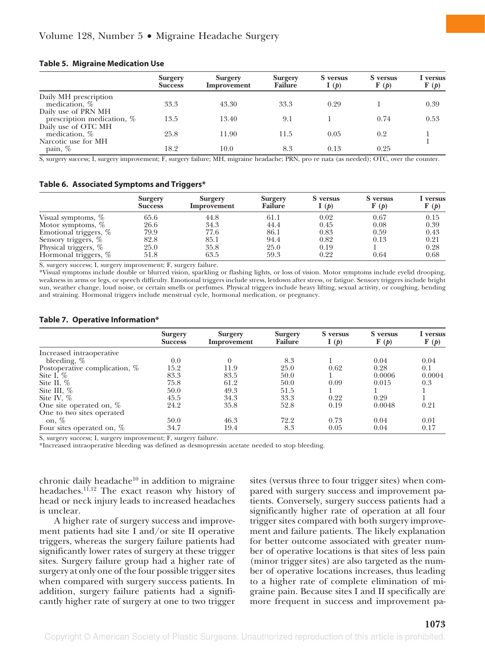#### **Table 5. Migraine Medication Use**

|                               | <b>Surgery</b><br><b>Success</b> | <b>Surgery</b><br>Improvement | <b>Surgery</b><br><b>Failure</b> | S versus<br>I(p) | S versus<br>$\mathbf{F}(\boldsymbol{p})$ | I versus<br>$\mathbf{F}(\boldsymbol{p})$ |
|-------------------------------|----------------------------------|-------------------------------|----------------------------------|------------------|------------------------------------------|------------------------------------------|
| Daily MH prescription         |                                  |                               |                                  |                  |                                          |                                          |
| medication, $\%$              | 33.3                             | 43.30                         | 33.3                             | 0.29             |                                          | 0.39                                     |
| Daily use of PRN MH           |                                  |                               |                                  |                  |                                          |                                          |
| prescription medication, $\%$ | 13.5                             | 13.40                         | 9.1                              |                  | 0.74                                     | 0.53                                     |
| Daily use of OTC MH           |                                  |                               |                                  |                  |                                          |                                          |
| medication, %                 | 25.8                             | 11.90                         | 11.5                             | 0.05             | 0.2                                      |                                          |
| Narcotic use for MH           |                                  |                               |                                  |                  |                                          |                                          |
| pain, %                       | 18.2                             | 10.0                          | 8.3                              | 0.13             | 0.25                                     |                                          |

S, surgery success; I, surgery improvement; F, surgery failure; MH, migraine headache; PRN, pro re nata (as needed); OTC, over the counter.

#### **Table 6. Associated Symptoms and Triggers\***

|                       | <b>Surgery</b><br><b>Success</b> | Surgery<br>Improvement | <b>Surgery</b><br><b>Failure</b> | S versus<br>I(p) | S versus<br>$\mathbf{F}(\boldsymbol{p})$ | I versus<br>$\mathbf{F}(\boldsymbol{p})$ |
|-----------------------|----------------------------------|------------------------|----------------------------------|------------------|------------------------------------------|------------------------------------------|
| Visual symptoms, %    | 65.6                             | 44.8                   | 61.1                             | 0.02             | 0.67                                     | 0.15                                     |
| Motor symptoms, $\%$  | 26.6                             | 34.3                   | 44.4                             | 0.45             | 0.08                                     | 0.39                                     |
| Emotional triggers, % | 79.9                             | 77.6                   | 86.1                             | 0.83             | 0.59                                     | 0.43                                     |
| Sensory triggers, %   | 82.8                             | 85.1                   | 94.4                             | 0.82             | 0.13                                     | 0.21                                     |
| Physical triggers, %  | 25.0                             | 35.8                   | 25.0                             | 0.19             |                                          | 0.28                                     |
| Hormonal triggers, %  | 51.8                             | 63.5                   | 59.3                             | 0.22             | 0.64                                     | 0.68                                     |

S, surgery success; I, surgery improvement; F, surgery failure.

\*Visual symptoms include double or blurred vision, sparkling or flashing lights, or loss of vision. Motor symptoms include eyelid drooping, weakness in arms or legs, or speech difficulty. Emotional triggers include stress, letdown after stress, or fatigue. Sensory triggers include bright sun, weather change, loud noise, or certain smells or perfumes. Physical triggers include heavy lifting, sexual activity, or coughing, bending and straining. Hormonal triggers include menstrual cycle, hormonal medication, or pregnancy.

#### **Table 7. Operative Information\***

| <b>Surgery</b><br><b>Success</b>      | <b>Surgery</b><br>Improvement | <b>Surgery</b><br><b>Failure</b> | S versus<br>I(p) | S versus<br>$\mathbf{F}(\boldsymbol{p})$ | I versus<br>$\mathbf{F}(\boldsymbol{p})$ |
|---------------------------------------|-------------------------------|----------------------------------|------------------|------------------------------------------|------------------------------------------|
| Increased intraoperative              |                               |                                  |                  |                                          |                                          |
| bleeding, $%$<br>0.0                  |                               | 8.3                              |                  | 0.04                                     | 0.04                                     |
| 15.2<br>Postoperative complication, % | 11.9                          | 25.0                             | 0.62             | 0.28                                     | 0.1                                      |
| 83.3<br>Site I, $\%$                  | 83.5                          | 50.0                             |                  | 0.0006                                   | 0.0004                                   |
| Site II, $\%$<br>75.8                 | 61.2                          | 50.0                             | 0.09             | 0.015                                    | 0.3                                      |
| Site III, $\%$<br>50.0                | 49.3                          | 51.5                             |                  |                                          |                                          |
| Site IV, $\%$<br>45.5                 | 34.3                          | 33.3                             | 0.22             | 0.29                                     |                                          |
| 24.2<br>One site operated on, %       | 35.8                          | 52.8                             | 0.19             | 0.0048                                   | 0.21                                     |
| One to two sites operated             |                               |                                  |                  |                                          |                                          |
| 50.0<br>on, $%$                       | 46.3                          | 72.2                             | 0.73             | 0.04                                     | 0.01                                     |
| 34.7<br>Four sites operated on, $\%$  | 19.4                          | 8.3                              | 0.05             | 0.04                                     | 0.17                                     |

S, surgery success; I, surgery improvement; F, surgery failure.

\*Increased intraoperative bleeding was defined as desmopressin acetate needed to stop bleeding.

chronic daily headache $10$  in addition to migraine headaches.<sup>11,12</sup> The exact reason why history of head or neck injury leads to increased headaches is unclear.

A higher rate of surgery success and improvement patients had site I and/or site II operative triggers, whereas the surgery failure patients had significantly lower rates of surgery at these trigger sites. Surgery failure group had a higher rate of surgery at only one of the four possible trigger sites when compared with surgery success patients. In addition, surgery failure patients had a significantly higher rate of surgery at one to two trigger sites (versus three to four trigger sites) when compared with surgery success and improvement patients. Conversely, surgery success patients had a significantly higher rate of operation at all four trigger sites compared with both surgery improvement and failure patients. The likely explanation for better outcome associated with greater number of operative locations is that sites of less pain (minor trigger sites) are also targeted as the number of operative locations increases, thus leading to a higher rate of complete elimination of migraine pain. Because sites I and II specifically are more frequent in success and improvement pa-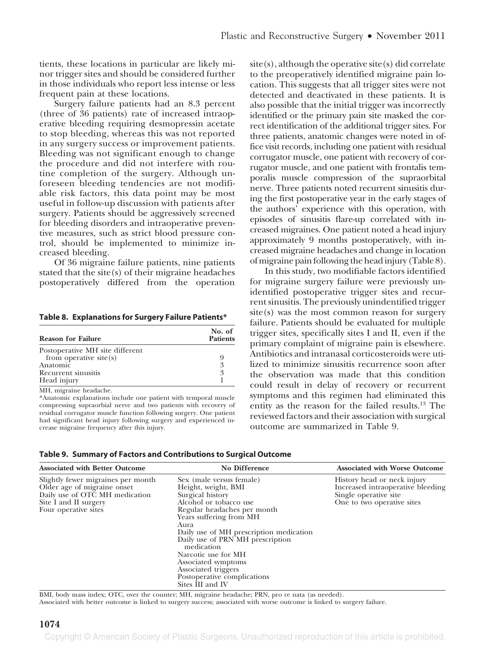tients, these locations in particular are likely minor trigger sites and should be considered further in those individuals who report less intense or less frequent pain at these locations.

Surgery failure patients had an 8.3 percent (three of 36 patients) rate of increased intraoperative bleeding requiring desmopressin acetate to stop bleeding, whereas this was not reported in any surgery success or improvement patients. Bleeding was not significant enough to change the procedure and did not interfere with routine completion of the surgery. Although unforeseen bleeding tendencies are not modifiable risk factors, this data point may be most useful in follow-up discussion with patients after surgery. Patients should be aggressively screened for bleeding disorders and intraoperative preventive measures, such as strict blood pressure control, should be implemented to minimize increased bleeding.

Of 36 migraine failure patients, nine patients stated that the site(s) of their migraine headaches postoperatively differed from the operation

**Table 8. Explanations for Surgery Failure Patients\***

| <b>Reason for Failure</b>       | No. of<br><b>Patients</b> |
|---------------------------------|---------------------------|
| Postoperative MH site different |                           |
| from operative site $(s)$       | 9                         |
| Anatomic                        | 3                         |
| Recurrent sinusitis             | 3                         |
| Head injury                     |                           |
| MH mioraine headache            |                           |

MH, migraine headache.

\*Anatomic explanations include one patient with temporal muscle compressing supraorbial nerve and two patients with recovery of residual corrugator muscle function following surgery. One patient had significant head injury following surgery and experienced increase migraine frequency after this injury.

 $site(s)$ , although the operative site $(s)$  did correlate to the preoperatively identified migraine pain location. This suggests that all trigger sites were not detected and deactivated in these patients. It is also possible that the initial trigger was incorrectly identified or the primary pain site masked the correct identification of the additional trigger sites. For three patients, anatomic changes were noted in office visit records, including one patient with residual corrugator muscle, one patient with recovery of corrugator muscle, and one patient with frontalis temporalis muscle compression of the supraorbital nerve. Three patients noted recurrent sinusitis during the first postoperative year in the early stages of the authors' experience with this operation, with episodes of sinusitis flare-up correlated with increased migraines. One patient noted a head injury approximately 9 months postoperatively, with increased migraine headaches and change in location ofmigraine pain following the head injury (Table 8).

In this study, two modifiable factors identified for migraine surgery failure were previously unidentified postoperative trigger sites and recurrent sinusitis. The previously unindentified trigger site(s) was the most common reason for surgery failure. Patients should be evaluated for multiple trigger sites, specifically sites I and II, even if the primary complaint of migraine pain is elsewhere. Antibiotics and intranasal corticosteroids were utilized to minimize sinusitis recurrence soon after the observation was made that this condition could result in delay of recovery or recurrent symptoms and this regimen had eliminated this entity as the reason for the failed results.13 The reviewed factors and their association with surgical outcome are summarized in Table 9.

|  |  |  |  | Table 9. Summary of Factors and Contributions to Surgical Outcome |
|--|--|--|--|-------------------------------------------------------------------|
|--|--|--|--|-------------------------------------------------------------------|

| <b>Associated with Better Outcome</b>                                                                                                                | <b>No Difference</b>                                                                                                                                                                                                                                                                                                                                                                 | <b>Associated with Worse Outcome</b>                                                                                    |
|------------------------------------------------------------------------------------------------------------------------------------------------------|--------------------------------------------------------------------------------------------------------------------------------------------------------------------------------------------------------------------------------------------------------------------------------------------------------------------------------------------------------------------------------------|-------------------------------------------------------------------------------------------------------------------------|
| Slightly fewer migraines per month<br>Older age of migraine onset<br>Daily use of OTC MH medication<br>Site I and II surgery<br>Four operative sites | Sex (male versus female)<br>Height, weight, BMI<br>Surgical history<br>Alcohol or tobacco use<br>Regular headaches per month<br>Years suffering from MH<br>Aura<br>Daily use of MH prescription medication<br>Daily use of PRN MH prescription<br>medication<br>Narcotic use for MH<br>Associated symptoms<br>Associated triggers<br>Postoperative complications<br>Sites III and IV | History head or neck injury<br>Increased intraoperative bleeding<br>Single operative site<br>One to two operative sites |

BMI, body mass index; OTC, over the counter; MH, migraine headache; PRN, pro re nata (as needed).

Associated with better outcome is linked to surgery success; associated with worse outcome is linked to surgery failure.